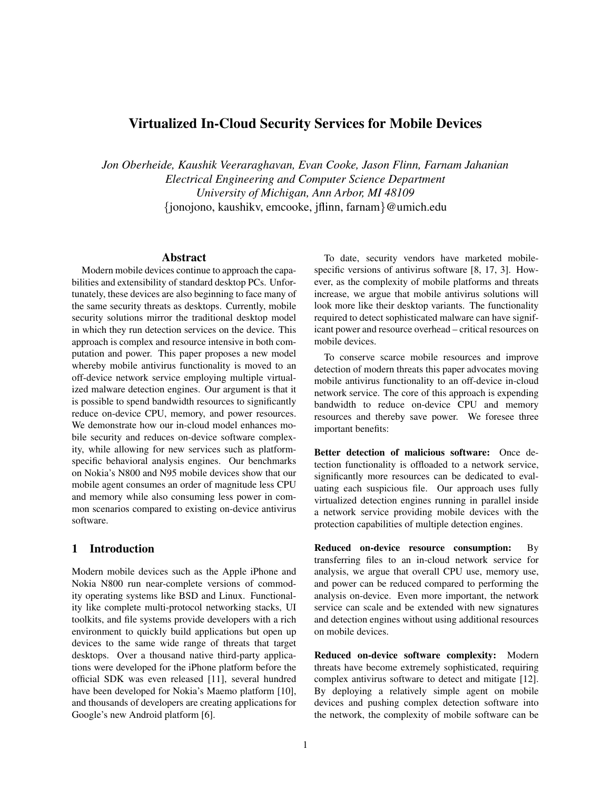# Virtualized In-Cloud Security Services for Mobile Devices

*Jon Oberheide, Kaushik Veeraraghavan, Evan Cooke, Jason Flinn, Farnam Jahanian Electrical Engineering and Computer Science Department University of Michigan, Ann Arbor, MI 48109* {jonojono, kaushikv, emcooke, jflinn, farnam}@umich.edu

## Abstract

Modern mobile devices continue to approach the capabilities and extensibility of standard desktop PCs. Unfortunately, these devices are also beginning to face many of the same security threats as desktops. Currently, mobile security solutions mirror the traditional desktop model in which they run detection services on the device. This approach is complex and resource intensive in both computation and power. This paper proposes a new model whereby mobile antivirus functionality is moved to an off-device network service employing multiple virtualized malware detection engines. Our argument is that it is possible to spend bandwidth resources to significantly reduce on-device CPU, memory, and power resources. We demonstrate how our in-cloud model enhances mobile security and reduces on-device software complexity, while allowing for new services such as platformspecific behavioral analysis engines. Our benchmarks on Nokia's N800 and N95 mobile devices show that our mobile agent consumes an order of magnitude less CPU and memory while also consuming less power in common scenarios compared to existing on-device antivirus software.

# 1 Introduction

Modern mobile devices such as the Apple iPhone and Nokia N800 run near-complete versions of commodity operating systems like BSD and Linux. Functionality like complete multi-protocol networking stacks, UI toolkits, and file systems provide developers with a rich environment to quickly build applications but open up devices to the same wide range of threats that target desktops. Over a thousand native third-party applications were developed for the iPhone platform before the official SDK was even released [11], several hundred have been developed for Nokia's Maemo platform [10], and thousands of developers are creating applications for Google's new Android platform [6].

To date, security vendors have marketed mobilespecific versions of antivirus software [8, 17, 3]. However, as the complexity of mobile platforms and threats increase, we argue that mobile antivirus solutions will look more like their desktop variants. The functionality required to detect sophisticated malware can have significant power and resource overhead – critical resources on mobile devices.

To conserve scarce mobile resources and improve detection of modern threats this paper advocates moving mobile antivirus functionality to an off-device in-cloud network service. The core of this approach is expending bandwidth to reduce on-device CPU and memory resources and thereby save power. We foresee three important benefits:

Better detection of malicious software: Once detection functionality is offloaded to a network service, significantly more resources can be dedicated to evaluating each suspicious file. Our approach uses fully virtualized detection engines running in parallel inside a network service providing mobile devices with the protection capabilities of multiple detection engines.

Reduced on-device resource consumption: By transferring files to an in-cloud network service for analysis, we argue that overall CPU use, memory use, and power can be reduced compared to performing the analysis on-device. Even more important, the network service can scale and be extended with new signatures and detection engines without using additional resources on mobile devices.

Reduced on-device software complexity: Modern threats have become extremely sophisticated, requiring complex antivirus software to detect and mitigate [12]. By deploying a relatively simple agent on mobile devices and pushing complex detection software into the network, the complexity of mobile software can be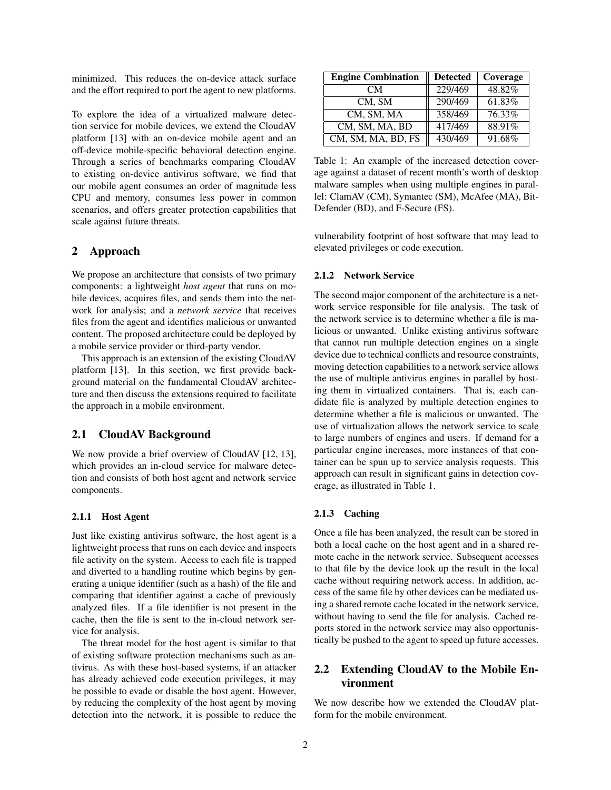minimized. This reduces the on-device attack surface and the effort required to port the agent to new platforms.

To explore the idea of a virtualized malware detection service for mobile devices, we extend the CloudAV platform [13] with an on-device mobile agent and an off-device mobile-specific behavioral detection engine. Through a series of benchmarks comparing CloudAV to existing on-device antivirus software, we find that our mobile agent consumes an order of magnitude less CPU and memory, consumes less power in common scenarios, and offers greater protection capabilities that scale against future threats.

## 2 Approach

We propose an architecture that consists of two primary components: a lightweight *host agent* that runs on mobile devices, acquires files, and sends them into the network for analysis; and a *network service* that receives files from the agent and identifies malicious or unwanted content. The proposed architecture could be deployed by a mobile service provider or third-party vendor.

This approach is an extension of the existing CloudAV platform [13]. In this section, we first provide background material on the fundamental CloudAV architecture and then discuss the extensions required to facilitate the approach in a mobile environment.

#### 2.1 CloudAV Background

We now provide a brief overview of CloudAV [12, 13], which provides an in-cloud service for malware detection and consists of both host agent and network service components.

#### 2.1.1 Host Agent

Just like existing antivirus software, the host agent is a lightweight process that runs on each device and inspects file activity on the system. Access to each file is trapped and diverted to a handling routine which begins by generating a unique identifier (such as a hash) of the file and comparing that identifier against a cache of previously analyzed files. If a file identifier is not present in the cache, then the file is sent to the in-cloud network service for analysis.

The threat model for the host agent is similar to that of existing software protection mechanisms such as antivirus. As with these host-based systems, if an attacker has already achieved code execution privileges, it may be possible to evade or disable the host agent. However, by reducing the complexity of the host agent by moving detection into the network, it is possible to reduce the

| <b>Engine Combination</b> | <b>Detected</b>      | Coverage |
|---------------------------|----------------------|----------|
| CМ                        | 229/469              | 48.82%   |
| CM, SM                    | $\overline{290/469}$ | 61.83%   |
| CM, SM, MA                | 358/469              | 76.33%   |
| CM, SM, MA, BD            | 417/469              | 88.91%   |
| CM, SM, MA, BD, FS        | 430/469              | 91.68%   |

Table 1: An example of the increased detection coverage against a dataset of recent month's worth of desktop malware samples when using multiple engines in parallel: ClamAV (CM), Symantec (SM), McAfee (MA), Bit-Defender (BD), and F-Secure (FS).

vulnerability footprint of host software that may lead to elevated privileges or code execution.

#### 2.1.2 Network Service

The second major component of the architecture is a network service responsible for file analysis. The task of the network service is to determine whether a file is malicious or unwanted. Unlike existing antivirus software that cannot run multiple detection engines on a single device due to technical conflicts and resource constraints, moving detection capabilities to a network service allows the use of multiple antivirus engines in parallel by hosting them in virtualized containers. That is, each candidate file is analyzed by multiple detection engines to determine whether a file is malicious or unwanted. The use of virtualization allows the network service to scale to large numbers of engines and users. If demand for a particular engine increases, more instances of that container can be spun up to service analysis requests. This approach can result in significant gains in detection coverage, as illustrated in Table 1.

#### 2.1.3 Caching

Once a file has been analyzed, the result can be stored in both a local cache on the host agent and in a shared remote cache in the network service. Subsequent accesses to that file by the device look up the result in the local cache without requiring network access. In addition, access of the same file by other devices can be mediated using a shared remote cache located in the network service, without having to send the file for analysis. Cached reports stored in the network service may also opportunistically be pushed to the agent to speed up future accesses.

# 2.2 Extending CloudAV to the Mobile Environment

We now describe how we extended the CloudAV platform for the mobile environment.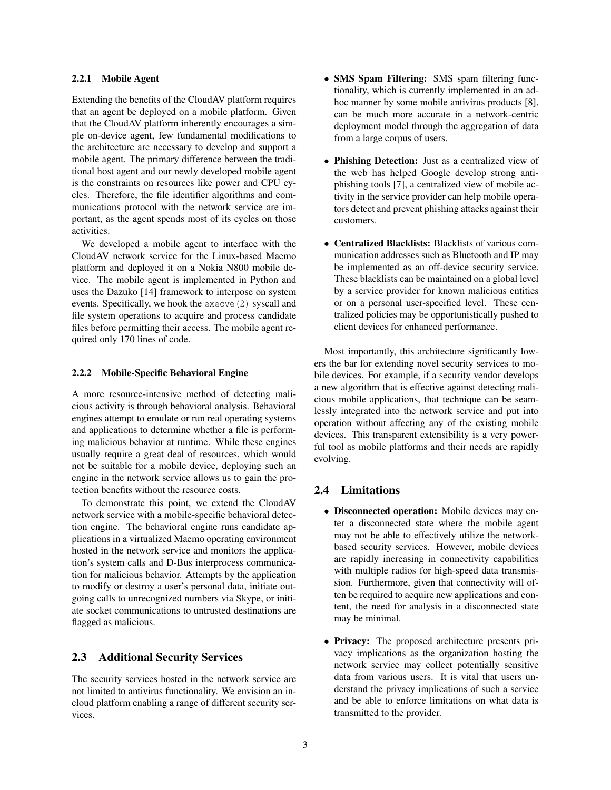#### 2.2.1 Mobile Agent

Extending the benefits of the CloudAV platform requires that an agent be deployed on a mobile platform. Given that the CloudAV platform inherently encourages a simple on-device agent, few fundamental modifications to the architecture are necessary to develop and support a mobile agent. The primary difference between the traditional host agent and our newly developed mobile agent is the constraints on resources like power and CPU cycles. Therefore, the file identifier algorithms and communications protocol with the network service are important, as the agent spends most of its cycles on those activities.

We developed a mobile agent to interface with the CloudAV network service for the Linux-based Maemo platform and deployed it on a Nokia N800 mobile device. The mobile agent is implemented in Python and uses the Dazuko [14] framework to interpose on system events. Specifically, we hook the execve(2) syscall and file system operations to acquire and process candidate files before permitting their access. The mobile agent required only 170 lines of code.

#### 2.2.2 Mobile-Specific Behavioral Engine

A more resource-intensive method of detecting malicious activity is through behavioral analysis. Behavioral engines attempt to emulate or run real operating systems and applications to determine whether a file is performing malicious behavior at runtime. While these engines usually require a great deal of resources, which would not be suitable for a mobile device, deploying such an engine in the network service allows us to gain the protection benefits without the resource costs.

To demonstrate this point, we extend the CloudAV network service with a mobile-specific behavioral detection engine. The behavioral engine runs candidate applications in a virtualized Maemo operating environment hosted in the network service and monitors the application's system calls and D-Bus interprocess communication for malicious behavior. Attempts by the application to modify or destroy a user's personal data, initiate outgoing calls to unrecognized numbers via Skype, or initiate socket communications to untrusted destinations are flagged as malicious.

# 2.3 Additional Security Services

The security services hosted in the network service are not limited to antivirus functionality. We envision an incloud platform enabling a range of different security services.

- SMS Spam Filtering: SMS spam filtering functionality, which is currently implemented in an adhoc manner by some mobile antivirus products [8], can be much more accurate in a network-centric deployment model through the aggregation of data from a large corpus of users.
- Phishing Detection: Just as a centralized view of the web has helped Google develop strong antiphishing tools [7], a centralized view of mobile activity in the service provider can help mobile operators detect and prevent phishing attacks against their customers.
- Centralized Blacklists: Blacklists of various communication addresses such as Bluetooth and IP may be implemented as an off-device security service. These blacklists can be maintained on a global level by a service provider for known malicious entities or on a personal user-specified level. These centralized policies may be opportunistically pushed to client devices for enhanced performance.

Most importantly, this architecture significantly lowers the bar for extending novel security services to mobile devices. For example, if a security vendor develops a new algorithm that is effective against detecting malicious mobile applications, that technique can be seamlessly integrated into the network service and put into operation without affecting any of the existing mobile devices. This transparent extensibility is a very powerful tool as mobile platforms and their needs are rapidly evolving.

# 2.4 Limitations

- Disconnected operation: Mobile devices may enter a disconnected state where the mobile agent may not be able to effectively utilize the networkbased security services. However, mobile devices are rapidly increasing in connectivity capabilities with multiple radios for high-speed data transmission. Furthermore, given that connectivity will often be required to acquire new applications and content, the need for analysis in a disconnected state may be minimal.
- Privacy: The proposed architecture presents privacy implications as the organization hosting the network service may collect potentially sensitive data from various users. It is vital that users understand the privacy implications of such a service and be able to enforce limitations on what data is transmitted to the provider.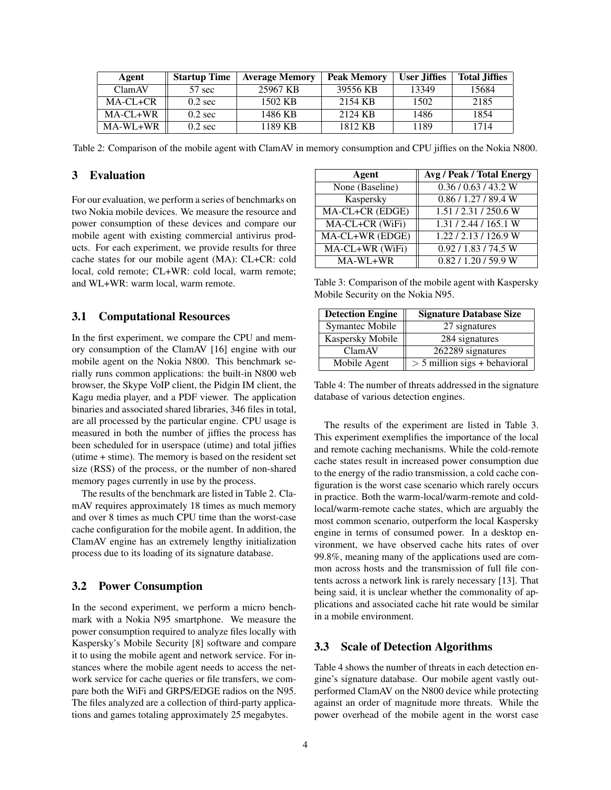| Agent    | <b>Startup Time</b> | <b>Average Memory</b> | <b>Peak Memory</b> | User Jiffies | <b>Total Jiffies</b> |
|----------|---------------------|-----------------------|--------------------|--------------|----------------------|
| ClamAV   | 57 sec              | 25967 KB              | 39556 KB           | 13349        | 15684                |
| MA-CL+CR | $0.2 \text{ sec}$   | 1502 KB               | 2154 KB            | 1502         | 2185                 |
| MA-CL+WR | $0.2 \text{ sec}$   | 1486 KB               | 2124 KB            | 1486         | 1854                 |
| MA-WL+WR | $0.2 \text{ sec}$   | 1189 KB               | 1812 KB            | 1189         | 1714                 |

Table 2: Comparison of the mobile agent with ClamAV in memory consumption and CPU jiffies on the Nokia N800.

# 3 Evaluation

For our evaluation, we perform a series of benchmarks on two Nokia mobile devices. We measure the resource and power consumption of these devices and compare our mobile agent with existing commercial antivirus products. For each experiment, we provide results for three cache states for our mobile agent (MA): CL+CR: cold local, cold remote; CL+WR: cold local, warm remote; and WL+WR: warm local, warm remote.

#### 3.1 Computational Resources

In the first experiment, we compare the CPU and memory consumption of the ClamAV [16] engine with our mobile agent on the Nokia N800. This benchmark serially runs common applications: the built-in N800 web browser, the Skype VoIP client, the Pidgin IM client, the Kagu media player, and a PDF viewer. The application binaries and associated shared libraries, 346 files in total, are all processed by the particular engine. CPU usage is measured in both the number of jiffies the process has been scheduled for in userspace (utime) and total jiffies (utime + stime). The memory is based on the resident set size (RSS) of the process, or the number of non-shared memory pages currently in use by the process.

The results of the benchmark are listed in Table 2. ClamAV requires approximately 18 times as much memory and over 8 times as much CPU time than the worst-case cache configuration for the mobile agent. In addition, the ClamAV engine has an extremely lengthy initialization process due to its loading of its signature database.

### 3.2 Power Consumption

In the second experiment, we perform a micro benchmark with a Nokia N95 smartphone. We measure the power consumption required to analyze files locally with Kaspersky's Mobile Security [8] software and compare it to using the mobile agent and network service. For instances where the mobile agent needs to access the network service for cache queries or file transfers, we compare both the WiFi and GRPS/EDGE radios on the N95. The files analyzed are a collection of third-party applications and games totaling approximately 25 megabytes.

| Agent           | Avg / Peak / Total Energy |
|-----------------|---------------------------|
| None (Baseline) | $\sqrt{0.36/0.63/43.2 W}$ |
| Kaspersky       | 0.86 / 1.27 / 89.4 W      |
| MA-CL+CR (EDGE) | 1.51/2.31/250.6W          |
| MA-CL+CR (WiFi) | 1.31 / 2.44 / 165.1 W     |
| MA-CL+WR (EDGE) | 1.22/2.13/126.9 W         |
| MA-CL+WR (WiFi) | 0.92 / 1.83 / 74.5 W      |
| MA-WL+WR        | 0.82 / 1.20 / 59.9 W      |

Table 3: Comparison of the mobile agent with Kaspersky Mobile Security on the Nokia N95.

| <b>Detection Engine</b> | <b>Signature Database Size</b>  |
|-------------------------|---------------------------------|
| Symantec Mobile         | 27 signatures                   |
| Kaspersky Mobile        | 284 signatures                  |
| ClamAV                  | 262289 signatures               |
| Mobile Agent            | $> 5$ million sigs + behavioral |

Table 4: The number of threats addressed in the signature database of various detection engines.

The results of the experiment are listed in Table 3. This experiment exemplifies the importance of the local and remote caching mechanisms. While the cold-remote cache states result in increased power consumption due to the energy of the radio transmission, a cold cache configuration is the worst case scenario which rarely occurs in practice. Both the warm-local/warm-remote and coldlocal/warm-remote cache states, which are arguably the most common scenario, outperform the local Kaspersky engine in terms of consumed power. In a desktop environment, we have observed cache hits rates of over 99.8%, meaning many of the applications used are common across hosts and the transmission of full file contents across a network link is rarely necessary [13]. That being said, it is unclear whether the commonality of applications and associated cache hit rate would be similar in a mobile environment.

## 3.3 Scale of Detection Algorithms

Table 4 shows the number of threats in each detection engine's signature database. Our mobile agent vastly outperformed ClamAV on the N800 device while protecting against an order of magnitude more threats. While the power overhead of the mobile agent in the worst case